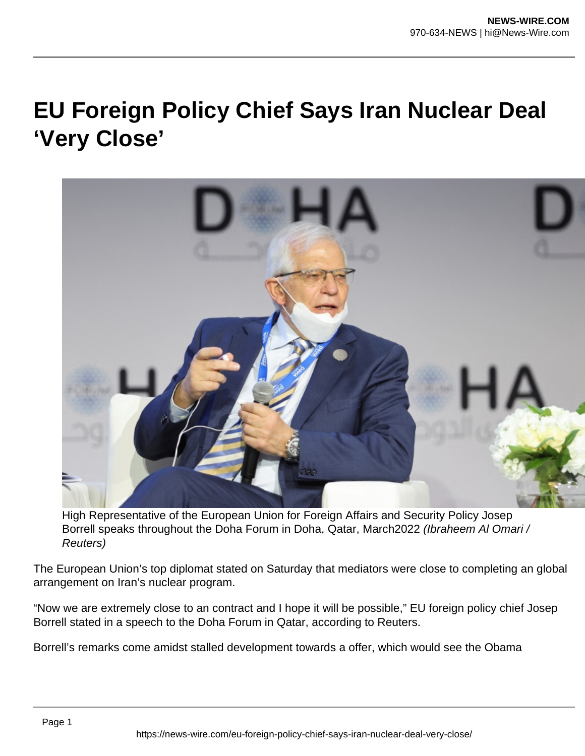## **EU Foreign Policy Chief Says Iran Nuclear Deal 'Very Close'**



High Representative of the European Union for Foreign Affairs and Security Policy Josep Borrell speaks throughout the Doha Forum in Doha, Qatar, March2022 (Ibraheem AI Omari / Reuters)

The European Union's top diplomat stated on Saturday that mediators were close to completing an global arrangement on Iran's nuclear program.

"Now we are extremely close to an contract and I hope it will be possible," EU foreign policy chief Josep Borrell stated in a speech to the Doha Forum in Qatar, according to Reuters.

Borrell's remarks come amidst stalled development towards a offer, which would see the Obama